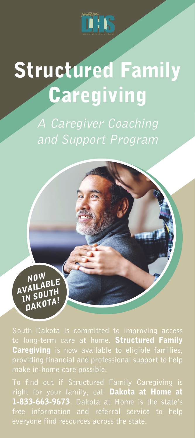

# Structured Family Caregiving

A Caregiver Coaching and Support Program

NOW AVAILABLE VALGUTH<br>IN SUOTAL N JU<br>DAKOTA!

to long-term care at home. **Structured Family Caregiving** is now available to eligible families,

right for your family, call **Dakota at Home at** 1-833-663-9673. Dakota at Home is the state's